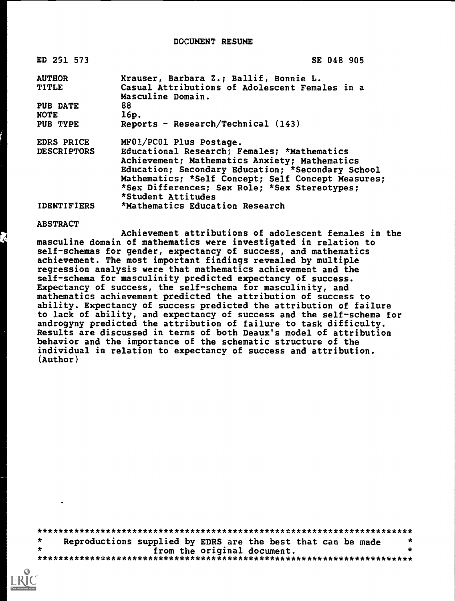DOCUMENT RESUME

| ED 291 573         | SE 048 905                                         |
|--------------------|----------------------------------------------------|
| <b>AUTHOR</b>      | Krauser, Barbara Z.; Ballif, Bonnie L.             |
| TITLE              | Casual Attributions of Adolescent Females in a     |
|                    | Masculine Domain.                                  |
| PUB DATE           | 88                                                 |
| <b>NOTE</b>        | 16p.                                               |
| PUB TYPE           | Reports - Research/Technical $(143)$               |
| EDRS PRICE         | MF01/PC01 Plus Postage.                            |
| <b>DESCRIPTORS</b> | Educational Research; Females; *Mathematics        |
|                    | Achievement; Mathematics Anxiety; Mathematics      |
|                    | Education; Secondary Education; *Secondary School  |
|                    | Mathematics; *Self Concept; Self Concept Measures; |
|                    | *Sex Differences; Sex Role; *Sex Stereotypes;      |
|                    | *Student Attitudes                                 |
| <b>IDENTIFIERS</b> | *Mathematics Education Research                    |

### ABSTRACT

Achievement attributions of adolescent females in the masculine domain of mathematics were investigated in relation to self-schemas for gender, expectancy of success, and mathematics achievement. The most important findings revealed by multiple regression analysis were that mathematics achievement and the self-schema for masculinity predicted expectancy of success. Expectancy of success, the self-schema for masculinity, and mathematics achievement predicted the attribution of success to ability. Expectancy of success predicted the attribution of failure to lack of ability, and expectancy of success and the self-schema for androgyny predicted the attribution of failure to task difficulty. Results are discussed in terms of both Deaux's model of attribution behavior and the importance of the schematic structure of the individual in relation to expectancy of success and attribution. (Author)

\*\*\*\*\*\*\*\*\*\*\*\*\*\*\*\*\*\*\*\*\*\*\*\*\*\*\*\*\*\*\*\*\*\*\*\*\*\*\*\*\*\*\*\*\*\*\*\*\*\*\*\*\*\*\*\*\*\*\*\*\*\*\*\*\*\*\*\*\*\*\*  $\star$ Reproductions supplied by EDRS are the best that can be made  $*$ <br>from the original document. from the original document. \*\*\*\*\*\*\*\*\*\*\*\*\*\*\*\*\*\*\*\*\*\*\*\*\*\*\*\*\*\*\*\*\*\*\*\*\*\*\*\*\*\*\*\*\*\*\*\*\*\*\*\*\*\*\*\*\*\*\*\*\*\*\*\*\*\*\*\*\*\*\*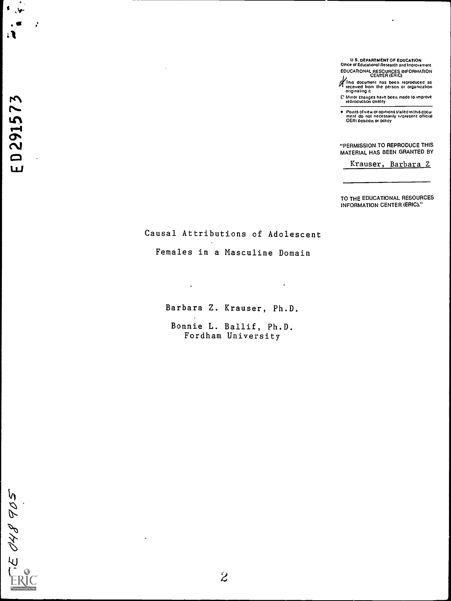U S. DEPARTMENT OF EDUCATION Office of Educational Research and Improvement EDUCATIONAL RESOURCES INFORMATION CENTER (ERIC)

This document has been reproduced as<br>received from the person or organization<br>originating it

C Minor changes have been made to improve reproduction quality

Points of view or opinions stated in this docu-<br>ment Ido: not: necessarily: ropresent: official<br>OERI position or policy

"PERMISSION TO REPRODUCE THIS MATERIAL HAS BEEN GRANTED BY

Krauser, Barbara Z

TO THE EDUCATIONAL RESOURCES INFORMATION CENTER (ERIC)."

Causal Attributions of Adolescent

Females in a Masculine Domain

Barbara Z. Krauser, Ph.D.

 $\overline{a}$ 

 $\epsilon$ 

Bonnie L. Ballif, Ph.D. Fordham University

ED291573

لمختبر

. र

÷

E OHB 905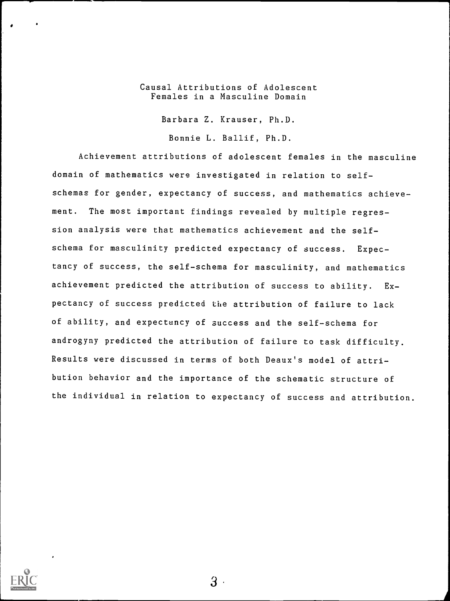## Causal Attributions of Adolescent Females in a Masculine Domain

Barbara Z. Krauser, Ph.D.

Bonnie L. Ballif, Ph.D.

Achievement attributions of adolescent females in the masculine domain of mathematics were investigated in relation to selfschemas for gender, expectancy of success, and mathematics achievement. The most important findings revealed by multiple regression analysis were that mathematics achievement and the selfschema for masculinity predicted expectancy of success. Expectancy of success, the self-schema for masculinity, and mathematics achievement predicted the attribution of success to ability. Expectancy of success predicted the attribution of failure to lack of ability, and expectancy of success and the self-schema for androgyny predicted the attribution of failure to task difficulty. Results were discussed in terms of both Deaux's model of attribution behavior and the importance of the schematic structure of the individual in relation to expectancy of success and attribution.



 $3\cdot$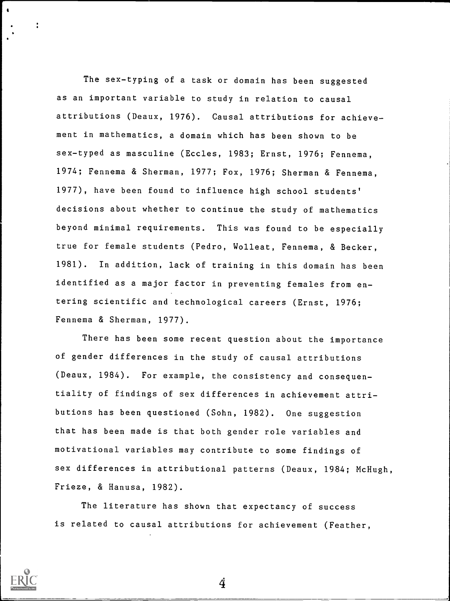The sex-typing of a task or domain has been suggested as an important variable to study in relation to causal attributions (Deaux, 1976). Causal attributions for achievement in mathematics, a domain which has been shown to be sex-typed as masculine (Eccles, 1983; Ernst, 1976; Fennema, 1974; Fennema & Sherman, 1977; Fox, 1976; Sherman & Fennema, 1977), have been found to influence high school students' decisions about whether to continue the study of mathematics beyond minimal requirements. This was found to be especially true for female students (Pedro, Wolleat, Fennema, & Becker, 1981). In addition, lack of training in this domain has been identified as a major factor in preventing females from entering scientific and technological careers (Ernst, 1976; Fennema & Sherman, 1977).

There has been some recent question about the importance of gender differences in the study of causal attributions (Deaux, 1984). For example, the consistency and consequentiality of findings of sex differences in achievement attributions has been questioned (Sohn, 1982). One suggestion that has been made is that both gender role variables and motivational variables may contribute to some findings of sex differences in attributional patterns (Deaux, 1984; McHugh, Frieze, & Hanusa, 1982).

The literature has shown that expectancy of success is related to causal attributions for achievement (Feather,



t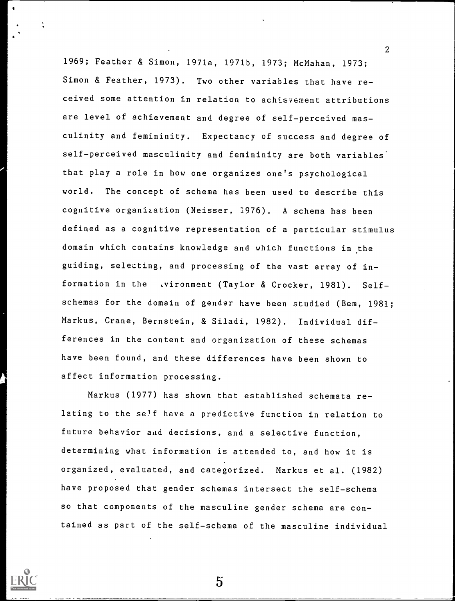1969; Feather & Simon, 1971a, 1971b, 1973; McMahan, 1973; Simon & Feather, 1973). Two other variables that have received some attention in relation to achievement attributions are level of achievement and degree of self-perceived masculinity and femininity. Expectancy of success and degree of self-perceived masculinity and femininity are both variables' that play a role in how one organizes one's psychological world. The concept of schema has been used to describe this cognitive organization (Neisser, 1976). A schema has been defined as a cognitive representation of a particular stimulus domain which contains knowledge and which functions in the guiding, selecting, and processing of the vast array of information in the .vironment (Taylor & Crocker, 1981). Selfschemas for the domain of gender have been studied (Bem, 1981; Markus, Crane, Bernstein, & Siladi, 1982). Individual differences in the content and organization of these schemas have been found, and these differences have been shown to affect information processing.

2

Markus (1977) has shown that established schemata relating to the se?f have a predictive function in relation to future behavior and decisions, and a selective function, determining what information is attended to, and how it is organized, evaluated, and categorized. Markus et al. (1982) have proposed that gender schemas intersect the self-schema so that components of the masculine gender schema are contained as part of the self-schema of the masculine individual

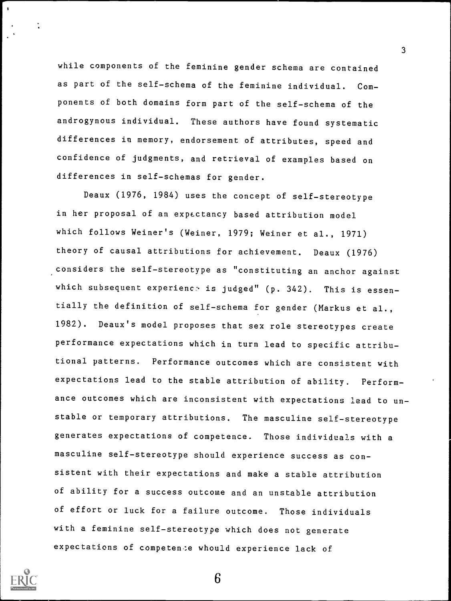while components of the feminine gender schema are contained as part of the self-schema of the feminine individual. Components of both domains form part of the self-schema of the androgynous individual. These authors have found systematic differences in memory, endorsement of attributes, speed and confidence of judgments, and retrieval of examples based on differences in self-schemas for gender.

Deaux (1976, 1984) uses the concept of self-stereotype in her proposal of an expectancy based attribution model which follows Weiner's (Weiner, 1979; Weiner et al., 1971) theory of causal attributions for achievement. Deaux (1976) considers the self-stereotype as "constituting an anchor against which subsequent experience is judged" (p. 342). This is essentially the definition of self-schema for gender (Markus et al., 1982). Deaux's model proposes that sex role stereotypes create performance expectations which in turn lead to specific attributional patterns. Performance outcomes which are consistent with expectations lead to the stable attribution of ability. Performance outcomes which are inconsistent with expectations lead to unstable or temporary attributions. The masculine self-stereotype generates expectations of competence. Those individuals with a masculine self-stereotype should experience success as consistent with their expectations and make a stable attribution of ability for a success outcome and an unstable attribution of effort or luck for a failure outcome. Those individuals with a feminine self-stereotype which does not generate expectations of competence whould experience lack of



 $\overline{\mathbf{a}}$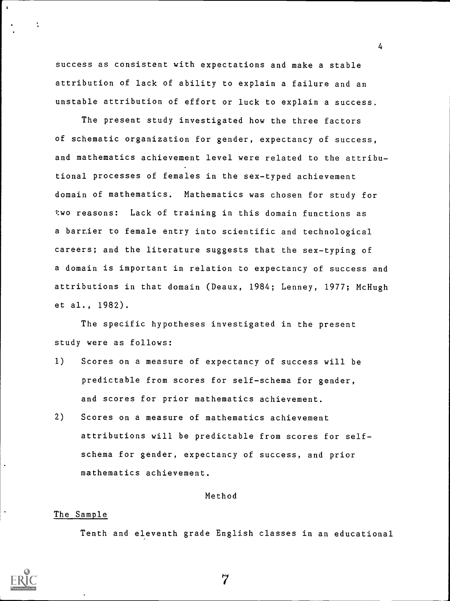success as consistent with expectations and make a stable attribution of lack of ability to explain a failure and an unstable attribution of effort or luck to explain a success.

The present study investigated how the three factors of schematic organization for gender, expectancy of success, and mathematics achievement level were related to the attributional processes of females in the sex-typed achievement domain of mathematics. Mathematics was chosen for study for two reasons: Lack of training in this domain functions as a barr.ier to female entry into scientific and technological careers; and the literature suggests that the sex-typing of a domain is important in relation to expectancy of success and attributions in that domain (Deaux, 1984; Lenney, 1977; McHugh et al., 1982).

The specific hypotheses investigated in the present study were as follows:

- 1) Scores on a measure of expectancy of success will be predictable from scores for self-schema for gender, and scores for prior mathematics achievement.
- 2) Scores on a measure of mathematics achievement attributions will be predictable from scores for selfschema for gender, expectancy of success, and prior mathematics achievement.

### Method

### The Sample

Tenth and eleventh grade English classes in an educational



7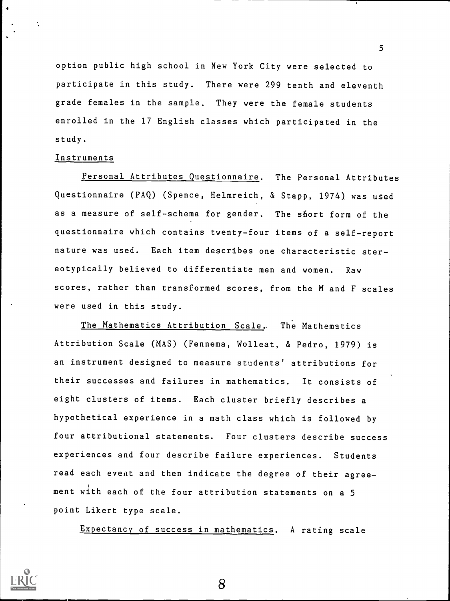option public high school in New York City were selected to participate in this study. There were 299 tenth and eleventh grade females in the sample. They were the female students enrolled in the 17 English classes which participated in the study.

### Instruments

Personal Attributes Questionnaire. The Personal Attributes Questionnaire (PAQ) (Spence, Helmreich, & Stapp, 1974) was used as a measure of self-schema for gender. The short form of the questionnaire which contains twenty-four items of a self-report nature was used. Each item describes one characteristic stereotypically believed to differentiate men and women. Raw scores, rather than transformed scores, from the M and F scales were used in this study.

The Mathematics Attribution Scale, The Mathematics Attribution Scale (MAS) (Fennema, Wolleat, & Pedro, 1979) is an instrument designed to measure students' attributions for their successes and failures in mathematics. It consists of eight clusters of items. Each cluster briefly describes a hypothetical experience in a math class which is followed by four attributional statements. Four clusters describe success experiences and four describe failure experiences. Students read each event and then indicate the degree of their agreement with each of the four attribution statements on a 5 point Likert type scale.

Expectancy of success in mathematics. A rating scale

8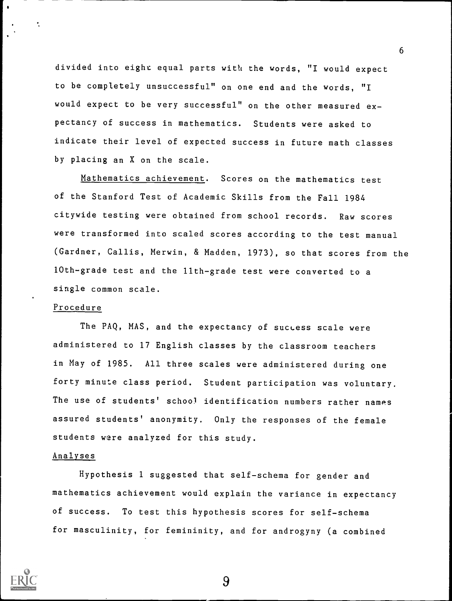divided into eight equal parts with the words, "I would expect to be completely unsuccessful" on one end and the words, "I would expect to be very successful" on the other measured expectancy of success in mathematics. Students were asked to indicate their level of expected success in future math classes by placing an X on the scale.

Mathematics achievement. Scores on the mathematics test of the Stanford Test of Academic Skills from the Fall 1984 citywide testing were obtained from school records. Raw scores were transformed into scaled scores according to the test manual (Gardner, Callis, Merwin, & Madden, 1973), so that scores from the 10th-grade test and the 11th -grade test were converted to a single common scale.

# Procedure

÷

The PAQ, MAS, and the expectancy of success scale were administered to 17 English classes by the classroom teachers in May of 1985. All three scales were administered during one forty minute class period. Student participation was voluntary. The use of students' school identification numbers rather names assured students' anonymity. Only the responses of the female students were analyzed for this study.

## Analyses

Hypothesis 1 suggested that self-schema for gender and mathematics achievement would explain the variance in expectancy of success. To test this hypothesis scores for self-schema for masculinity, for femininity, and for androgyny (a combined

9

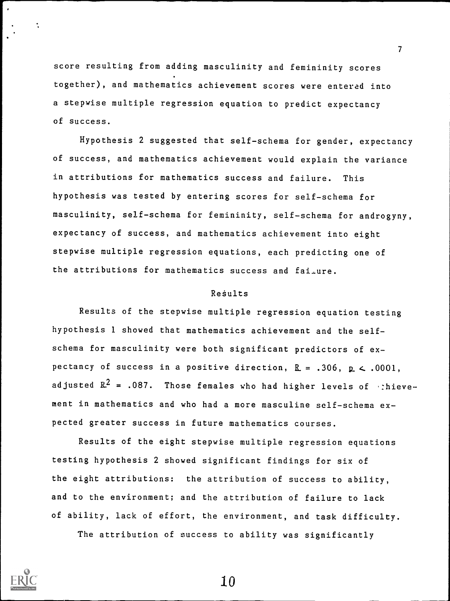score resulting from adding masculinity and femininity scores together), and mathematics achievement scores were entered into a stepwise multiple regression equation to predict expectancy of success.

7

Hypothesis 2 suggested that self-schema for gender, expectancy of success, and mathematics achievement would explain the variance in attributions for mathematics success and failure. This hypothesis was tested by entering scores for self-schema for masculinity, self-schema for femininity, self-schema for androgyny, expectancy of success, and mathematics achievement into eight stepwise multiple regression equations, each predicting one of the attributions for mathematics success and fai-ure.

## ReSults

Results of the stepwise multiple regression equation testing hypothesis 1 showed that mathematics achievement and the selfschema for masculinity were both significant predictors of expectancy of success in a positive direction,  $R = .306$ ,  $p < .0001$ , adjusted  $R^2$  = .087. Those females who had higher levels of :hievement in mathematics and who had a more masculine self-schema expected greater success in future mathematics courses.

Results of the eight stepwise multiple regression equations testing hypothesis 2 showed significant findings for six of the eight attributions: the attribution of success to ability, and to the environment; and the attribution of failure to lack of ability, lack of effort, the environment, and task difficulty.

The attribution of success to ability was significantly



 $\ddot{\phantom{a}}$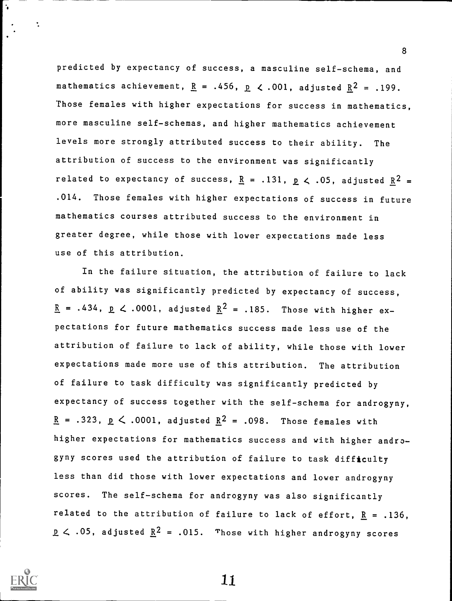predicted by expectancy of success, a masculine self-schema, and mathematics achievement,  $R = .456$ ,  $R < .001$ , adjusted  $R^2 = .199$ . 'Those females with higher expectations for success in mathematics, more masculine self-schemas, and higher mathematics achievement levels more strongly attributed success to their ability. The attribution of success to the environment was significantly related to expectancy of success,  $R = .131$ ,  $p \lt .05$ , adjusted  $R^2 =$ .014. Those females with higher expectations of success in future mathematics courses attributed success to the environment in greater degree, while those with lower expectations made less use of this attribution.

In the failure situation, the attribution of failure to lack of ability was significantly predicted by expectancy of success,  $\underline{R}$  = .434,  $\underline{p}$  < .0001, adjusted  $\underline{R}^2$  = .185. Those with higher expectations for future mathematics success made less use of the attribution of failure to lack of ability, while those with lower expectations made more use of this attribution. The attribution of failure to task difficulty was significantly predicted by expectancy of success together with the self-schema for androgyny,  $R = .323$ ,  $p < .0001$ , adjusted  $R^2 = .098$ . Those females with higher expectations for mathematics success and with higher androgyny scores used the attribution of failure to task difficulty less than did those with lower expectations and lower androgyny scores. The self-schema for androgyny was also significantly related to the attribution of failure to lack of effort,  $R = .136$ ,  $p \leq .05$ , adjusted  $R^2 = .015$ . Those with higher androgyny scores



÷

1.1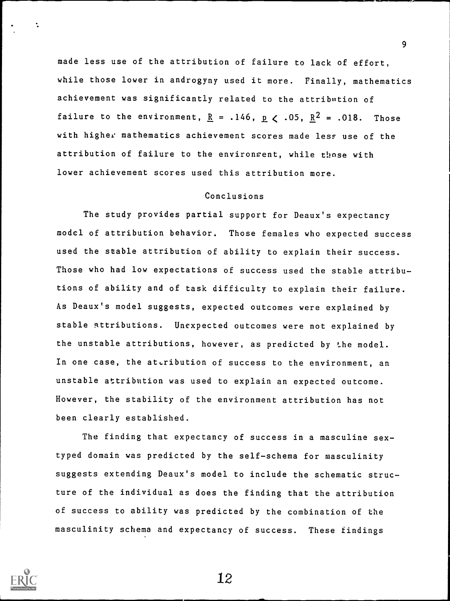made less use of the attribution of failure to lack of effort, while those lower in androgyny used it more. Finally, mathematics achievement was significantly related to the attribution of failure to the environment,  $R = .146$ ,  $R < .05$ ,  $R^2 = .018$ . Those with higher mathematics achievement scores made less use of the attribution of failure to the environment, while those with lower achievement scores used this attribution more.

# Conclusions

The study provides partial support for Deaux's expectancy model of attribution behavior. Those females who expected success used the stable attribution of ability to explain their success. Those who had low expectations of success used the stable attributions of ability and of task difficulty to explain their failure. As Deaux's model suggests, expected outcomes were explained by stable attributions. Unexpected outcomes were not explained by the unstable attributions, however, as predicted by 'he model. In one case, the attribution of success to the environment, an unstable attribution was used to explain an expected outcome. However, the stability of the environment attribution has not been clearly established.

The finding that expectancy of success in a masculine sextyped domain was predicted by the self-schema for masculinity suggests extending Deaux's model to include the schematic structure of the individual as does the finding that the attribution of success to ability was predicted by the combination of the masculinity schema and expectancy of success. These findings

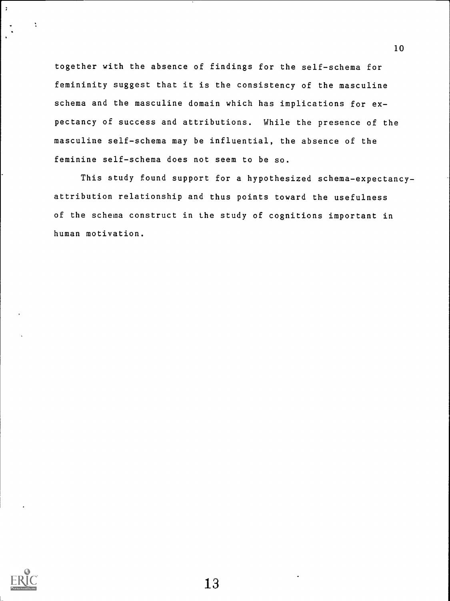together with the absence of findings for the self-schema for femininity suggest that it is the consistency of the masculine schema and the masculine domain which has implications for expectancy of success and attributions. While the presence of the masculine self-schema may be influential, the absence of the feminine self-schema does not seem to be so.

This study found support for a hypothesized schema-expectancyattribution relationship and thus points toward the usefulness of the schema construct in the study of cognitions important in human motivation.



 $\ddot{\phantom{a}}$ 

 $\mathcal{L}$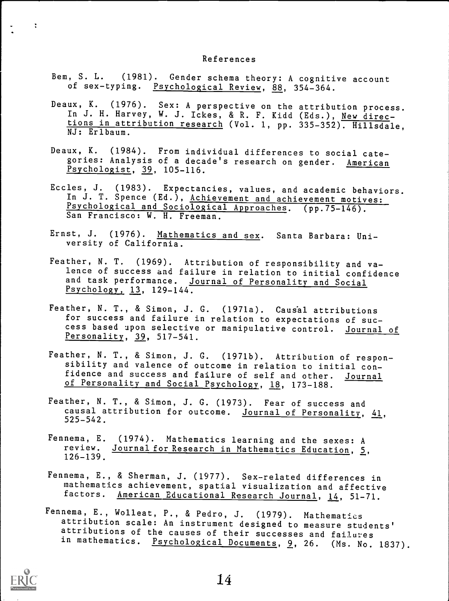### References

- Bem, S. L. (1981). Gender schema theory: A cognitive account of sex-typing. Psychological Review, 88, 354-364.
- Deaux, K. (1976). Sex: A perspective on the attribution process.<br>In J. H. Harvey, W. J. Ickes, & R. F. Kidd (Eds.), <u>New direc</u>tions in attribution research (Vol. 1, pp. 335-352). Hillsdale, NJ: Erlbaum.
- Deaux, K. (1984). From individual differences to social categories: Analysis of a decade's research on gender. American Psychologist, 39, 105-116.
- Eccles, J. (1983). Expectancies, values, and academic behaviors. In J. T. Spence (Ed.), Achievement and achievement motives: Psychological and Sociological Approaches. (pp.75-146). San Francisco: W. H. Freeman.
- Ernst, J. (1976). Mathematics and sex. Santa Barbara: University of California.
- Feather, N. T. (1969). Attribution of responsibility and valence of success and failure in relation to initial confidence and task performance. Journal of Personality and Social Psychology, 13, 129-144.
- Feather, N. T., & Simon, J. G. (1971a). Causal attributions for success and failure in relation to expectations of success based upon selective or manipulative control. Journal of Personality, 39, 517-541.
- Feather, N. T., & Simon, J. G. (1971b). Attribution of responsibility and valence of outcome in relation to initial confidence and success and failure of self and other. Journal of Personality and Social Psychology, 18, 173-188.
- Feather, N. T., & Simon, J. G. (1973). Fear of success and causal attribution for outcome. Journal of Personality, 41, 525-542.
- Fennema, E. (1974). Mathematics learning and the sexes: A review. Journal for Research in Mathematics Education, 5, 126-139.
- Fennema, E., & Sherman, J. (1977). Sex-related differences in mathematics achievement, spatial visualization and affective factors. American Educational Research Journal, 14, 51-71.
- Fennema, E., Wolleat, P., & Pedro, J. (1979). Mathematics attribution scale: An instrument designed to measure students' attributions of the causes of their successes and failures in mathematics. Psychological Documents, 9, 26. (Ms. No. 1837).



 $\ddot{\chi}$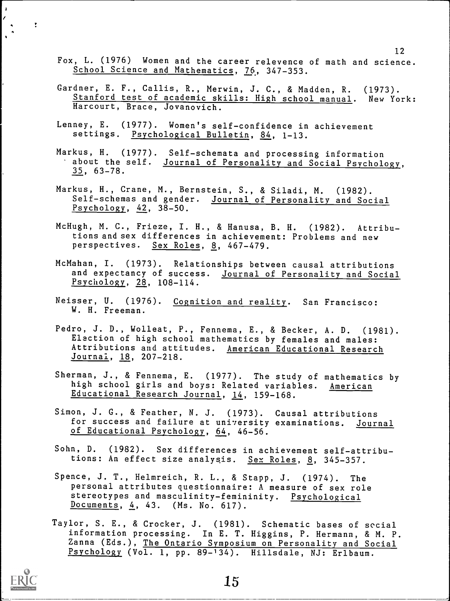- Fox, L. (1976) Women and the career relevence of math and science. School Science and Mathematics, 76, 347-353.
- Gardner, E. F., Callis, R., Merwin, J. C., & Madden, R. (1973). Stanford test of academic skills: High school manual. New York: Harcourt, Brace, Jovanovich.
- Lenney, E. (1977). Women's self-confidence in achievement settings. Psychological Bulletin, 84, 1-13.
- Markus, H. (1977). Self-schemata and processing information about the self. Journal of Personality and Social Psychology, 35 , 63-78.
- Markus, H., Crane, M., Bernstein, S., & Siladi, M. (1982). Self-schemas and gender. Journal of Personality and Social Psychology, 42, 38-50.
- McHugh, M. C., Frieze, I. H., & Hanusa, B. H. (1982). Attributions and sex differences in achievement: Problems and new perspectives. Sex Roles, 8, 467-479.
- McMahan, I. (1973). Relationships between causal attributions and expectancy of success. Journal of Personality and Social Psychology, 28, 108-114.
- Neisser, U. (1976). Cognition and reality. San Francisco: W. H. Freeman.
- Pedro, J. D., Wolleat, P., Fennema, E., & Becker, A. D. (1981). Elaction of high school mathematics by females and males: Attributions and attitudes. American Educational Research Journal, 18, 207-218.
- Sherman, J., & Fennema, E. (1977). The study of mathematics by high school girls and boys: Related variables. American Educational Research Journal, 14, 159-168.
- Simon, J. G., & Feather, N. J. (1973). Causal attributions for success and failure at university examinations. Journal of Educational Psychology, 64, 46-56.
- Sohn, D. (1982). Sex differences in achievement self-attributions: An effect size analysis. Sex Roles, 8, 345-357.
- Spence, J. T., Helmreich, R. L., & Stapp, J. (1974). The personal attributes questionnaire: A measure of sex role stereotypes and masculinity-femininity. Psychological Documents,  $4$ ,  $43.$  (Ms. No. 617).
- Taylor, S. E., & Crocker, J. (1981). Schematic bases of social information processing. In E. T. Higgins, P. Hermann, & M. P. Zanna (Eds.), The Ontario Symposium on Personality and Social Psychology (Vol. 1, pp. 89-134). Hillsdale, NJ: Erlbaum.



 $\mathbf{A}$ 

 $\overline{\mathbf{r}}$